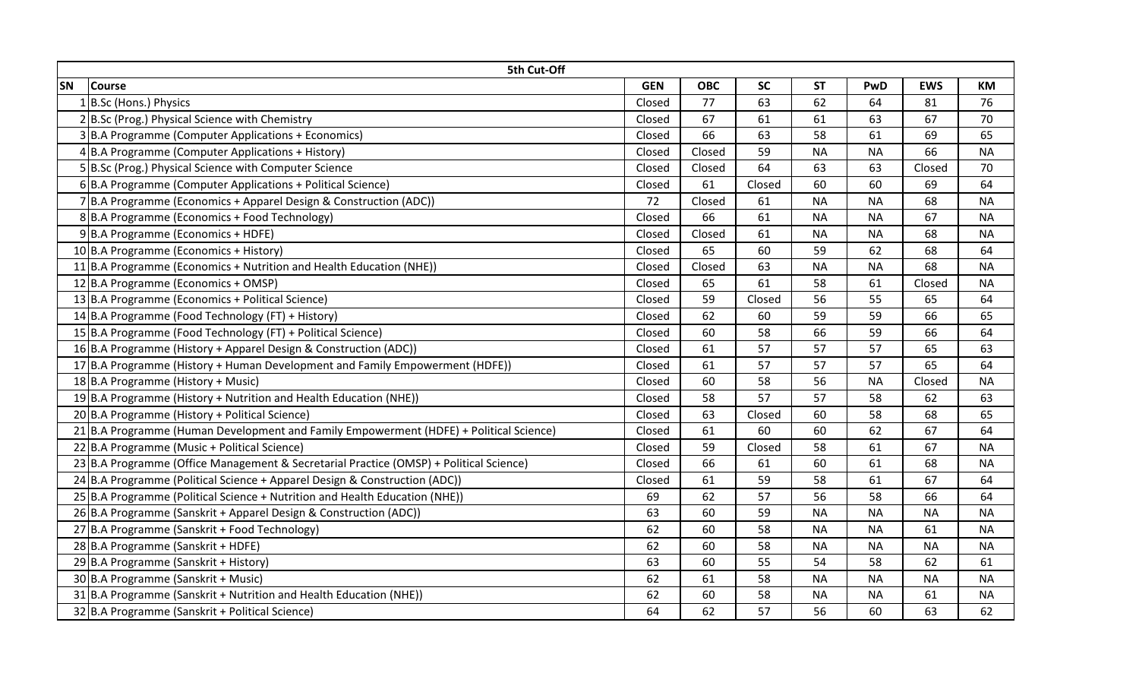| 5th Cut-Off |                                                                                          |            |            |           |           |           |            |           |  |  |  |
|-------------|------------------------------------------------------------------------------------------|------------|------------|-----------|-----------|-----------|------------|-----------|--|--|--|
| <b>SN</b>   | <b>Course</b>                                                                            | <b>GEN</b> | <b>OBC</b> | <b>SC</b> | <b>ST</b> | PwD       | <b>EWS</b> | КM        |  |  |  |
|             | 1B.Sc (Hons.) Physics                                                                    | Closed     | 77         | 63        | 62        | 64        | 81         | 76        |  |  |  |
|             | 2B.Sc (Prog.) Physical Science with Chemistry                                            | Closed     | 67         | 61        | 61        | 63        | 67         | 70        |  |  |  |
|             | 3 B.A Programme (Computer Applications + Economics)                                      | Closed     | 66         | 63        | 58        | 61        | 69         | 65        |  |  |  |
|             | 4B.A Programme (Computer Applications + History)                                         | Closed     | Closed     | 59        | <b>NA</b> | <b>NA</b> | 66         | <b>NA</b> |  |  |  |
|             | 5 B.Sc (Prog.) Physical Science with Computer Science                                    | Closed     | Closed     | 64        | 63        | 63        | Closed     | 70        |  |  |  |
|             | 6  B.A Programme (Computer Applications + Political Science)                             | Closed     | 61         | Closed    | 60        | 60        | 69         | 64        |  |  |  |
|             | 7 B.A Programme (Economics + Apparel Design & Construction (ADC))                        | 72         | Closed     | 61        | <b>NA</b> | <b>NA</b> | 68         | <b>NA</b> |  |  |  |
|             | 8B.A Programme (Economics + Food Technology)                                             | Closed     | 66         | 61        | <b>NA</b> | <b>NA</b> | 67         | <b>NA</b> |  |  |  |
|             | $9 B.A$ Programme (Economics + HDFE)                                                     | Closed     | Closed     | 61        | <b>NA</b> | <b>NA</b> | 68         | <b>NA</b> |  |  |  |
|             | 10 B.A Programme (Economics + History)                                                   | Closed     | 65         | 60        | 59        | 62        | 68         | 64        |  |  |  |
|             | 11 B.A Programme (Economics + Nutrition and Health Education (NHE))                      | Closed     | Closed     | 63        | <b>NA</b> | <b>NA</b> | 68         | <b>NA</b> |  |  |  |
|             | 12 B.A Programme (Economics + OMSP)                                                      | Closed     | 65         | 61        | 58        | 61        | Closed     | <b>NA</b> |  |  |  |
|             | 13 B.A Programme (Economics + Political Science)                                         | Closed     | 59         | Closed    | 56        | 55        | 65         | 64        |  |  |  |
|             | 14 B.A Programme (Food Technology (FT) + History)                                        | Closed     | 62         | 60        | 59        | 59        | 66         | 65        |  |  |  |
|             | 15 B.A Programme (Food Technology (FT) + Political Science)                              | Closed     | 60         | 58        | 66        | 59        | 66         | 64        |  |  |  |
|             | 16 B.A Programme (History + Apparel Design & Construction (ADC))                         | Closed     | 61         | 57        | 57        | 57        | 65         | 63        |  |  |  |
|             | 17 B.A Programme (History + Human Development and Family Empowerment (HDFE))             | Closed     | 61         | 57        | 57        | 57        | 65         | 64        |  |  |  |
|             | 18 B.A Programme (History + Music)                                                       | Closed     | 60         | 58        | 56        | <b>NA</b> | Closed     | <b>NA</b> |  |  |  |
|             | 19 B.A Programme (History + Nutrition and Health Education (NHE))                        | Closed     | 58         | 57        | 57        | 58        | 62         | 63        |  |  |  |
|             | 20 B.A Programme (History + Political Science)                                           | Closed     | 63         | Closed    | 60        | 58        | 68         | 65        |  |  |  |
|             | $21$ B.A Programme (Human Development and Family Empowerment (HDFE) + Political Science) | Closed     | 61         | 60        | 60        | 62        | 67         | 64        |  |  |  |
|             | 22 B.A Programme (Music + Political Science)                                             | Closed     | 59         | Closed    | 58        | 61        | 67         | <b>NA</b> |  |  |  |
|             | 23 B.A Programme (Office Management & Secretarial Practice (OMSP) + Political Science)   | Closed     | 66         | 61        | 60        | 61        | 68         | <b>NA</b> |  |  |  |
|             | 24 B.A Programme (Political Science + Apparel Design & Construction (ADC))               | Closed     | 61         | 59        | 58        | 61        | 67         | 64        |  |  |  |
|             | 25 B.A Programme (Political Science + Nutrition and Health Education (NHE))              | 69         | 62         | 57        | 56        | 58        | 66         | 64        |  |  |  |
|             | 26 B.A Programme (Sanskrit + Apparel Design & Construction (ADC))                        | 63         | 60         | 59        | <b>NA</b> | <b>NA</b> | <b>NA</b>  | <b>NA</b> |  |  |  |
|             | 27 B.A Programme (Sanskrit + Food Technology)                                            | 62         | 60         | 58        | <b>NA</b> | <b>NA</b> | 61         | <b>NA</b> |  |  |  |
|             | 28 B.A Programme (Sanskrit + HDFE)                                                       | 62         | 60         | 58        | <b>NA</b> | <b>NA</b> | <b>NA</b>  | <b>NA</b> |  |  |  |
|             | 29 B.A Programme (Sanskrit + History)                                                    | 63         | 60         | 55        | 54        | 58        | 62         | 61        |  |  |  |
|             | 30 B.A Programme (Sanskrit + Music)                                                      | 62         | 61         | 58        | <b>NA</b> | <b>NA</b> | <b>NA</b>  | <b>NA</b> |  |  |  |
|             | $31$ B.A Programme (Sanskrit + Nutrition and Health Education (NHE))                     | 62         | 60         | 58        | <b>NA</b> | <b>NA</b> | 61         | <b>NA</b> |  |  |  |
|             | 32 B.A Programme (Sanskrit + Political Science)                                          | 64         | 62         | 57        | 56        | 60        | 63         | 62        |  |  |  |